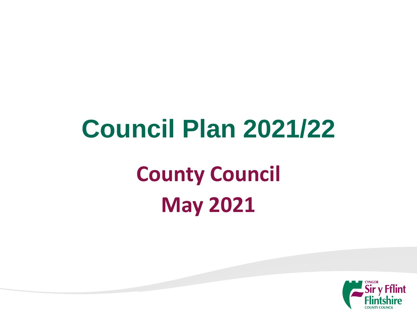# **County Council May 2021 Council Plan 2021/22**

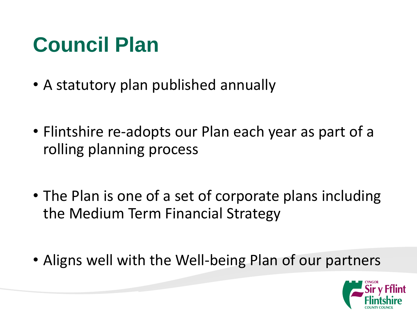#### **Council Plan**

- A statutory plan published annually
- Flintshire re-adopts our Plan each year as part of a rolling planning process
- The Plan is one of a set of corporate plans including the Medium Term Financial Strategy
- Aligns well with the Well-being Plan of our partners

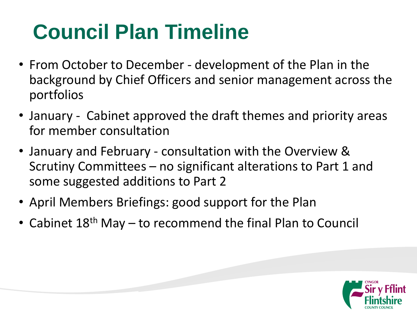## **Council Plan Timeline**

- From October to December development of the Plan in the background by Chief Officers and senior management across the portfolios
- January Cabinet approved the draft themes and priority areas for member consultation
- January and February consultation with the Overview & Scrutiny Committees – no significant alterations to Part 1 and some suggested additions to Part 2
- April Members Briefings: good support for the Plan
- Cabinet 18<sup>th</sup> May to recommend the final Plan to Council

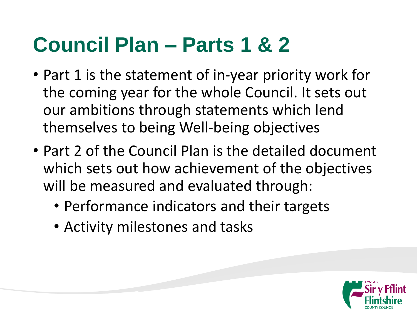#### **Council Plan – Parts 1 & 2**

- Part 1 is the statement of in-year priority work for the coming year for the whole Council. It sets out our ambitions through statements which lend themselves to being Well-being objectives
- Part 2 of the Council Plan is the detailed document which sets out how achievement of the objectives will be measured and evaluated through:
	- Performance indicators and their targets
	- Activity milestones and tasks

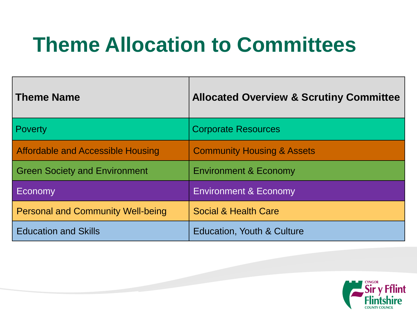#### **Theme Allocation to Committees**

| Theme Name                               | <b>Allocated Overview &amp; Scrutiny Committee</b> |
|------------------------------------------|----------------------------------------------------|
| <b>Poverty</b>                           | <b>Corporate Resources</b>                         |
| Affordable and Accessible Housing        | <b>Community Housing &amp; Assets</b>              |
| Green Society and Environment            | <b>Environment &amp; Economy</b>                   |
| Economy                                  | <b>Environment &amp; Economy</b>                   |
| <b>Personal and Community Well-being</b> | Social & Health Care                               |
| <b>Education and Skills</b>              | <b>Education, Youth &amp; Culture</b>              |

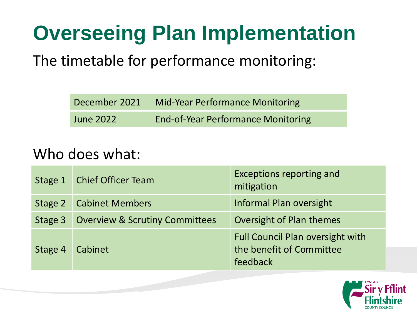#### **Overseeing Plan Implementation**

The timetable for performance monitoring:

|                  | December 2021 Mid-Year Performance Monitoring |
|------------------|-----------------------------------------------|
| <b>June 2022</b> | <b>End-of-Year Performance Monitoring</b>     |

#### Who does what:

|         | Stage 1   Chief Officer Team              | Exceptions reporting and<br>mitigation                                          |
|---------|-------------------------------------------|---------------------------------------------------------------------------------|
| Stage 2 | <b>Cabinet Members</b>                    | Informal Plan oversight                                                         |
| Stage 3 | <b>Overview &amp; Scrutiny Committees</b> | Oversight of Plan themes                                                        |
| Stage 4 | Cabinet                                   | <b>Full Council Plan oversight with</b><br>the benefit of Committee<br>feedback |

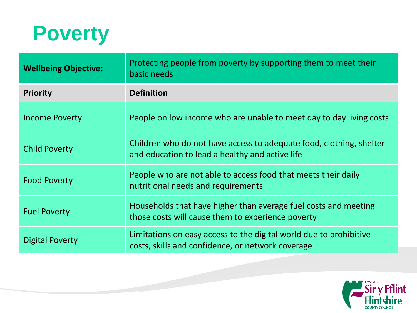

| <b>Wellbeing Objective:</b> | Protecting people from poverty by supporting them to meet their<br>basic needs                                          |
|-----------------------------|-------------------------------------------------------------------------------------------------------------------------|
| <b>Priority</b>             | <b>Definition</b>                                                                                                       |
| <b>Income Poverty</b>       | People on low income who are unable to meet day to day living costs                                                     |
| <b>Child Poverty</b>        | Children who do not have access to adequate food, clothing, shelter<br>and education to lead a healthy and active life  |
| <b>Food Poverty</b>         | People who are not able to access food that meets their daily<br>nutritional needs and requirements                     |
| <b>Fuel Poverty</b>         | Households that have higher than average fuel costs and meeting<br>those costs will cause them to experience poverty    |
| <b>Digital Poverty</b>      | Limitations on easy access to the digital world due to prohibitive<br>costs, skills and confidence, or network coverage |

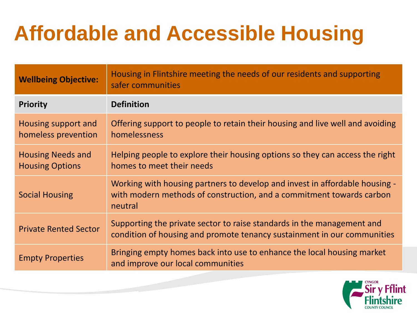## **Affordable and Accessible Housing**

| <b>Wellbeing Objective:</b>                        | Housing in Flintshire meeting the needs of our residents and supporting<br>safer communities                                                                   |
|----------------------------------------------------|----------------------------------------------------------------------------------------------------------------------------------------------------------------|
| <b>Priority</b>                                    | <b>Definition</b>                                                                                                                                              |
| Housing support and<br>homeless prevention         | Offering support to people to retain their housing and live well and avoiding<br>homelessness                                                                  |
| <b>Housing Needs and</b><br><b>Housing Options</b> | Helping people to explore their housing options so they can access the right<br>homes to meet their needs                                                      |
| <b>Social Housing</b>                              | Working with housing partners to develop and invest in affordable housing -<br>with modern methods of construction, and a commitment towards carbon<br>neutral |
| <b>Private Rented Sector</b>                       | Supporting the private sector to raise standards in the management and<br>condition of housing and promote tenancy sustainment in our communities              |
| <b>Empty Properties</b>                            | Bringing empty homes back into use to enhance the local housing market<br>and improve our local communities                                                    |

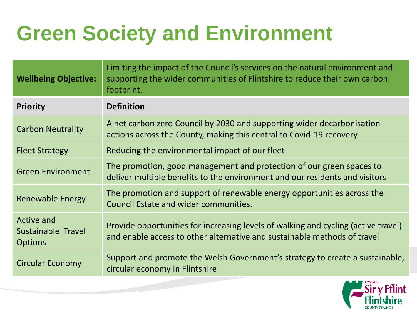### **Green Society and Environment**

| <b>Wellbeing Objective:</b>                               | Limiting the impact of the Council's services on the natural environment and<br>supporting the wider communities of Flintshire to reduce their own carbon<br>footprint. |
|-----------------------------------------------------------|-------------------------------------------------------------------------------------------------------------------------------------------------------------------------|
| <b>Priority</b>                                           | <b>Definition</b>                                                                                                                                                       |
| <b>Carbon Neutrality</b>                                  | A net carbon zero Council by 2030 and supporting wider decarbonisation<br>actions across the County, making this central to Covid-19 recovery                           |
| <b>Fleet Strategy</b>                                     | Reducing the environmental impact of our fleet                                                                                                                          |
| <b>Green Environment</b>                                  | The promotion, good management and protection of our green spaces to<br>deliver multiple benefits to the environment and our residents and visitors                     |
| <b>Renewable Energy</b>                                   | The promotion and support of renewable energy opportunities across the<br>Council Estate and wider communities.                                                         |
| <b>Active and</b><br>Sustainable Travel<br><b>Options</b> | Provide opportunities for increasing levels of walking and cycling (active travel)<br>and enable access to other alternative and sustainable methods of travel          |
| <b>Circular Economy</b>                                   | Support and promote the Welsh Government's strategy to create a sustainable,<br>circular economy in Flintshire                                                          |

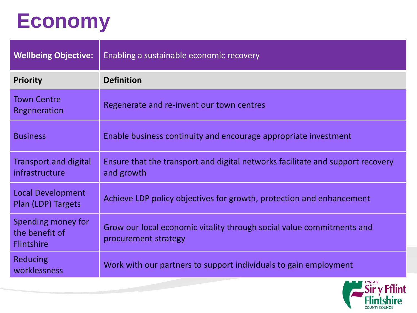#### **Economy**

| <b>Wellbeing Objective:</b>                               | <b>Enabling a sustainable economic recovery</b>                                               |
|-----------------------------------------------------------|-----------------------------------------------------------------------------------------------|
| <b>Priority</b>                                           | <b>Definition</b>                                                                             |
| <b>Town Centre</b><br>Regeneration                        | Regenerate and re-invent our town centres                                                     |
| <b>Business</b>                                           | Enable business continuity and encourage appropriate investment                               |
| <b>Transport and digital</b><br>infrastructure            | Ensure that the transport and digital networks facilitate and support recovery<br>and growth  |
| <b>Local Development</b><br>Plan (LDP) Targets            | Achieve LDP policy objectives for growth, protection and enhancement                          |
| Spending money for<br>the benefit of<br><b>Flintshire</b> | Grow our local economic vitality through social value commitments and<br>procurement strategy |
| <b>Reducing</b><br>worklessness                           | Work with our partners to support individuals to gain employment                              |

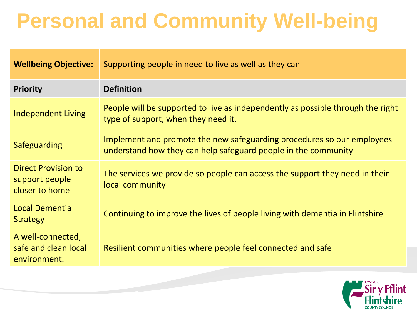#### **Personal and Community Well-being**

| <b>Wellbeing Objective:</b>                                    | Supporting people in need to live as well as they can                                                                                    |
|----------------------------------------------------------------|------------------------------------------------------------------------------------------------------------------------------------------|
| <b>Priority</b>                                                | <b>Definition</b>                                                                                                                        |
| <b>Independent Living</b>                                      | People will be supported to live as independently as possible through the right<br>type of support, when they need it.                   |
| Safeguarding                                                   | Implement and promote the new safeguarding procedures so our employees<br>understand how they can help safeguard people in the community |
| <b>Direct Provision to</b><br>support people<br>closer to home | The services we provide so people can access the support they need in their<br>local community                                           |
| <b>Local Dementia</b><br><b>Strategy</b>                       | Continuing to improve the lives of people living with dementia in Flintshire                                                             |
| A well-connected,<br>safe and clean local<br>environment.      | Resilient communities where people feel connected and safe                                                                               |

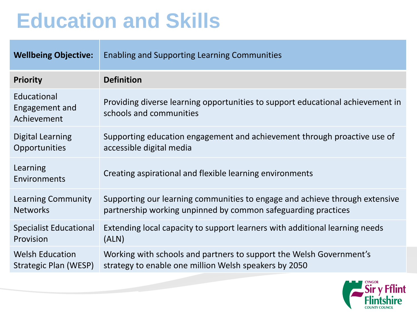#### **Education and Skills**

| <b>Wellbeing Objective:</b>                  | <b>Enabling and Supporting Learning Communities</b>                                                       |
|----------------------------------------------|-----------------------------------------------------------------------------------------------------------|
| <b>Priority</b>                              | <b>Definition</b>                                                                                         |
| Educational<br>Engagement and<br>Achievement | Providing diverse learning opportunities to support educational achievement in<br>schools and communities |
| <b>Digital Learning</b>                      | Supporting education engagement and achievement through proactive use of                                  |
| Opportunities                                | accessible digital media                                                                                  |
| Learning<br>Environments                     | Creating aspirational and flexible learning environments                                                  |
| Learning Community                           | Supporting our learning communities to engage and achieve through extensive                               |
| <b>Networks</b>                              | partnership working unpinned by common safeguarding practices                                             |
| <b>Specialist Educational</b>                | Extending local capacity to support learners with additional learning needs                               |
| Provision                                    | (ALN)                                                                                                     |
| <b>Welsh Education</b>                       | Working with schools and partners to support the Welsh Government's                                       |
| Strategic Plan (WESP)                        | strategy to enable one million Welsh speakers by 2050                                                     |